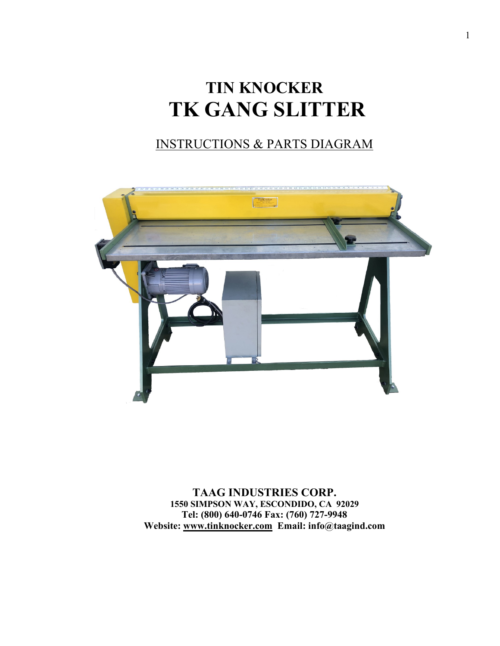# **TIN KNOCKER TK GANG SLITTER**

### INSTRUCTIONS & PARTS DIAGRAM



**TAAG INDUSTRIES CORP. 1550 SIMPSON WAY, ESCONDIDO, CA 92029 Tel: (800) 640-0746 Fax: (760) 727-9948 Website: [www.tinknocker.com](http://www.tinknocker.com/) Email: info@taagind.com**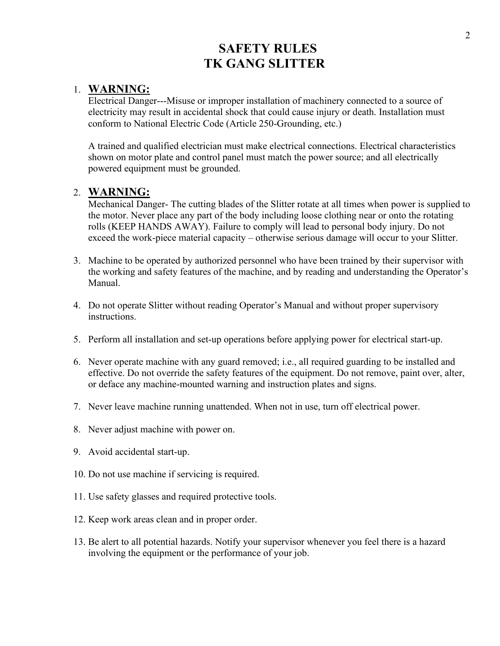### **SAFETY RULES TK GANG SLITTER**

#### 1. **WARNING:**

Electrical Danger---Misuse or improper installation of machinery connected to a source of electricity may result in accidental shock that could cause injury or death. Installation must conform to National Electric Code (Article 250-Grounding, etc.)

A trained and qualified electrician must make electrical connections. Electrical characteristics shown on motor plate and control panel must match the power source; and all electrically powered equipment must be grounded.

#### 2. **WARNING:**

Mechanical Danger- The cutting blades of the Slitter rotate at all times when power is supplied to the motor. Never place any part of the body including loose clothing near or onto the rotating rolls (KEEP HANDS AWAY). Failure to comply will lead to personal body injury. Do not exceed the work-piece material capacity – otherwise serious damage will occur to your Slitter.

- 3. Machine to be operated by authorized personnel who have been trained by their supervisor with the working and safety features of the machine, and by reading and understanding the Operator's Manual.
- 4. Do not operate Slitter without reading Operator's Manual and without proper supervisory instructions.
- 5. Perform all installation and set-up operations before applying power for electrical start-up.
- 6. Never operate machine with any guard removed; i.e., all required guarding to be installed and effective. Do not override the safety features of the equipment. Do not remove, paint over, alter, or deface any machine-mounted warning and instruction plates and signs.
- 7. Never leave machine running unattended. When not in use, turn off electrical power.
- 8. Never adjust machine with power on.
- 9. Avoid accidental start-up.
- 10. Do not use machine if servicing is required.
- 11. Use safety glasses and required protective tools.
- 12. Keep work areas clean and in proper order.
- 13. Be alert to all potential hazards. Notify your supervisor whenever you feel there is a hazard involving the equipment or the performance of your job.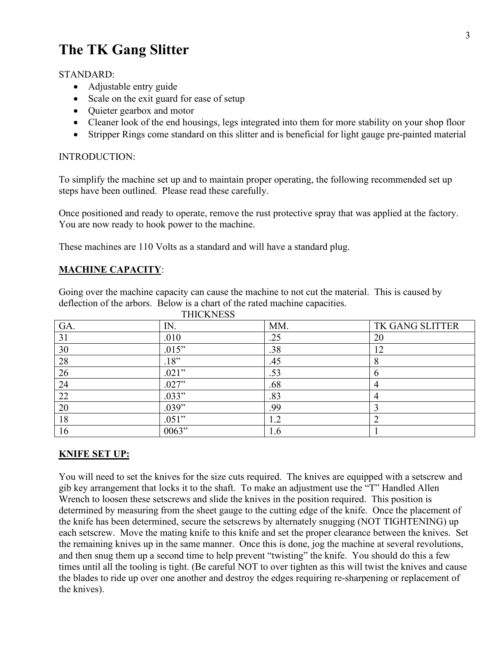## **The TK Gang Slitter**

#### STANDARD:

- Adjustable entry guide
- Scale on the exit guard for ease of setup
- Quieter gearbox and motor
- Cleaner look of the end housings, legs integrated into them for more stability on your shop floor
- Stripper Rings come standard on this slitter and is beneficial for light gauge pre-painted material

#### INTRODUCTION:

To simplify the machine set up and to maintain proper operating, the following recommended set up steps have been outlined. Please read these carefully.

Once positioned and ready to operate, remove the rust protective spray that was applied at the factory. You are now ready to hook power to the machine.

These machines are 110 Volts as a standard and will have a standard plug.

#### **MACHINE CAPACITY**:

Going over the machine capacity can cause the machine to not cut the material. This is caused by deflection of the arbors. Below is a chart of the rated machine capacities. **THICK**WESS

| <b>LEIUNIVESS</b> |       |     |                 |
|-------------------|-------|-----|-----------------|
| GA.               | IN.   | MM. | TK GANG SLITTER |
| 31                | .010  | .25 | 20              |
| 30                | .015" | .38 | 1つ              |
| 28                | .18"  | .45 |                 |
| 26                | .021" | .53 |                 |
| 24                | .027" | .68 |                 |
| 22                | .033" | .83 |                 |
| 20                | .039" | .99 |                 |
| 18                | .051" | 1.2 |                 |
| 16                | 0063" | 1.6 |                 |

#### **KNIFE SET UP:**

You will need to set the knives for the size cuts required. The knives are equipped with a setscrew and gib key arrangement that locks it to the shaft. To make an adjustment use the "T" Handled Allen Wrench to loosen these setscrews and slide the knives in the position required. This position is determined by measuring from the sheet gauge to the cutting edge of the knife. Once the placement of the knife has been determined, secure the setscrews by alternately snugging (NOT TIGHTENING) up each setscrew. Move the mating knife to this knife and set the proper clearance between the knives. Set the remaining knives up in the same manner. Once this is done, jog the machine at several revolutions, and then snug them up a second time to help prevent "twisting" the knife. You should do this a few times until all the tooling is tight. (Be careful NOT to over tighten as this will twist the knives and cause the blades to ride up over one another and destroy the edges requiring re-sharpening or replacement of the knives).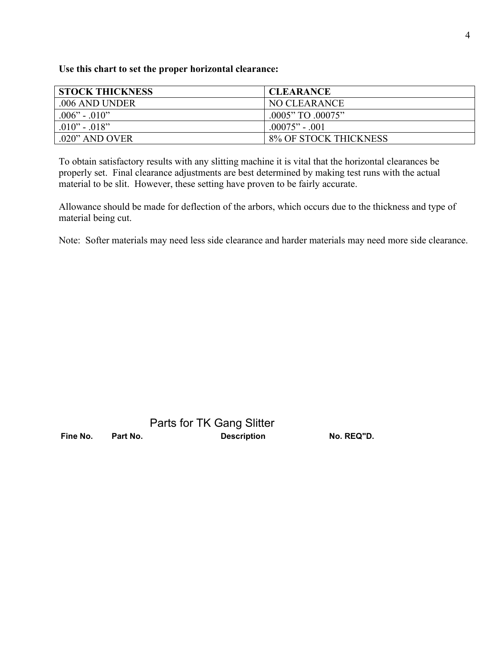**Use this chart to set the proper horizontal clearance:**

| <b>STOCK THICKNESS</b> | <b>CLEARANCE</b>      |
|------------------------|-----------------------|
| .006 AND UNDER         | NO CLEARANCE          |
| $.006" - .010"$        | .0005" TO .00075"     |
| $.010" - .018"$        | $.00075" - .001$      |
| $.020$ " AND OVER      | 8% OF STOCK THICKNESS |

To obtain satisfactory results with any slitting machine it is vital that the horizontal clearances be properly set. Final clearance adjustments are best determined by making test runs with the actual material to be slit. However, these setting have proven to be fairly accurate.

Allowance should be made for deflection of the arbors, which occurs due to the thickness and type of material being cut.

Note: Softer materials may need less side clearance and harder materials may need more side clearance.

|          |          | Parts for TK Gang Slitter |            |
|----------|----------|---------------------------|------------|
| Fine No. | Part No. | <b>Description</b>        | No. REQ"D. |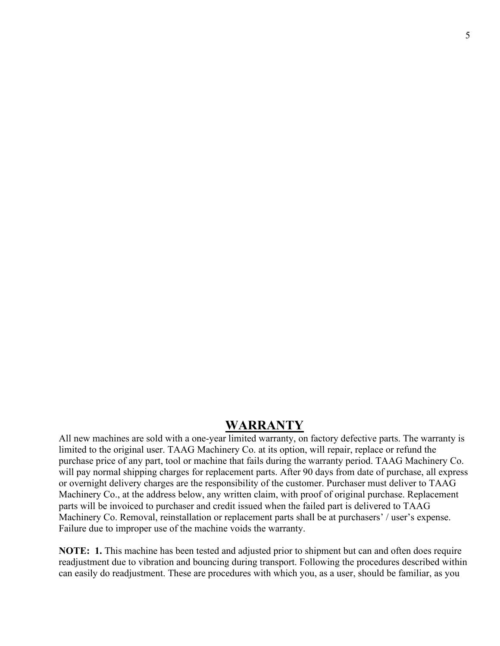### **WARRANTY**

All new machines are sold with a one-year limited warranty, on factory defective parts. The warranty is limited to the original user. TAAG Machinery Co. at its option, will repair, replace or refund the purchase price of any part, tool or machine that fails during the warranty period. TAAG Machinery Co. will pay normal shipping charges for replacement parts. After 90 days from date of purchase, all express or overnight delivery charges are the responsibility of the customer. Purchaser must deliver to TAAG Machinery Co., at the address below, any written claim, with proof of original purchase. Replacement parts will be invoiced to purchaser and credit issued when the failed part is delivered to TAAG Machinery Co. Removal, reinstallation or replacement parts shall be at purchasers' / user's expense. Failure due to improper use of the machine voids the warranty.

**NOTE: 1.** This machine has been tested and adjusted prior to shipment but can and often does require readjustment due to vibration and bouncing during transport. Following the procedures described within can easily do readjustment. These are procedures with which you, as a user, should be familiar, as you